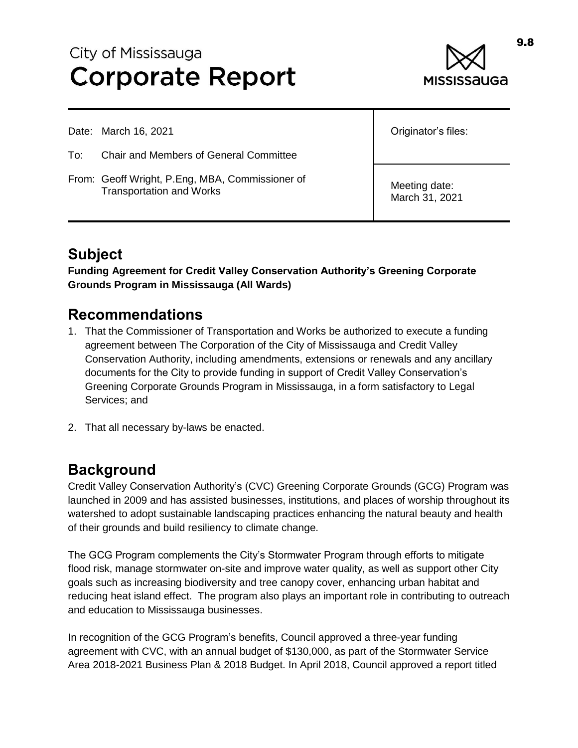# City of Mississauga **Corporate Report**



Date: March 16, 2021

- To: Chair and Members of General Committee
- From: Geoff Wright, P.Eng, MBA, Commissioner of Transportation and Works

Originator's files:

Meeting date: March 31, 2021

## **Subject**

**Funding Agreement for Credit Valley Conservation Authority's Greening Corporate Grounds Program in Mississauga (All Wards)**

#### **Recommendations**

- 1. That the Commissioner of Transportation and Works be authorized to execute a funding agreement between The Corporation of the City of Mississauga and Credit Valley Conservation Authority, including amendments, extensions or renewals and any ancillary documents for the City to provide funding in support of Credit Valley Conservation's Greening Corporate Grounds Program in Mississauga, in a form satisfactory to Legal Services; and
- 2. That all necessary by-laws be enacted.

#### **Background**

Credit Valley Conservation Authority's (CVC) Greening Corporate Grounds (GCG) Program was launched in 2009 and has assisted businesses, institutions, and places of worship throughout its watershed to adopt sustainable landscaping practices enhancing the natural beauty and health of their grounds and build resiliency to climate change.

The GCG Program complements the City's Stormwater Program through efforts to mitigate flood risk, manage stormwater on-site and improve water quality, as well as support other City goals such as increasing biodiversity and tree canopy cover, enhancing urban habitat and reducing heat island effect. The program also plays an important role in contributing to outreach and education to Mississauga businesses.

In recognition of the GCG Program's benefits, Council approved a three-year funding agreement with CVC, with an annual budget of \$130,000, as part of the Stormwater Service Area 2018-2021 Business Plan & 2018 Budget. In April 2018, Council approved a report titled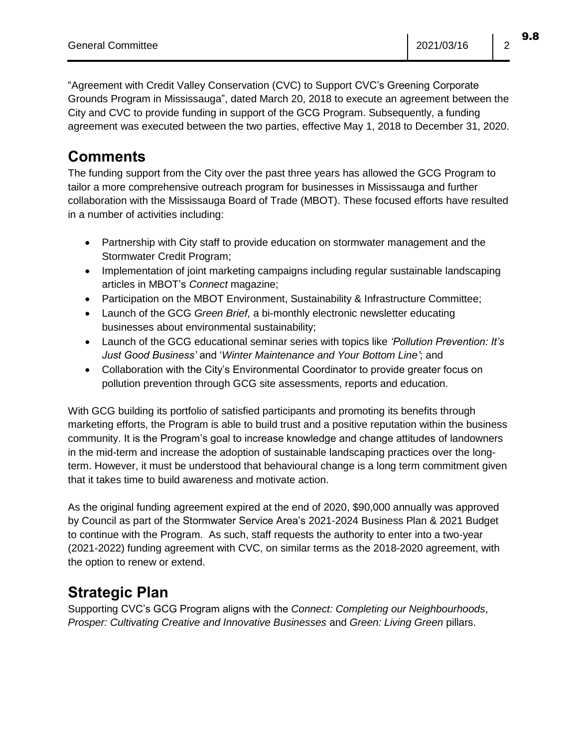"Agreement with Credit Valley Conservation (CVC) to Support CVC's Greening Corporate Grounds Program in Mississauga", dated March 20, 2018 to execute an agreement between the City and CVC to provide funding in support of the GCG Program. Subsequently, a funding agreement was executed between the two parties, effective May 1, 2018 to December 31, 2020.

#### **Comments**

The funding support from the City over the past three years has allowed the GCG Program to tailor a more comprehensive outreach program for businesses in Mississauga and further collaboration with the Mississauga Board of Trade (MBOT). These focused efforts have resulted in a number of activities including:

- Partnership with City staff to provide education on stormwater management and the Stormwater Credit Program;
- Implementation of joint marketing campaigns including regular sustainable landscaping articles in MBOT's *Connect* magazine;
- Participation on the MBOT Environment, Sustainability & Infrastructure Committee;
- Launch of the GCG *Green Brief*, a bi-monthly electronic newsletter educating businesses about environmental sustainability;
- Launch of the GCG educational seminar series with topics like *'Pollution Prevention: It's Just Good Business'* and '*Winter Maintenance and Your Bottom Line'*; and
- Collaboration with the City's Environmental Coordinator to provide greater focus on pollution prevention through GCG site assessments, reports and education.

With GCG building its portfolio of satisfied participants and promoting its benefits through marketing efforts, the Program is able to build trust and a positive reputation within the business community. It is the Program's goal to increase knowledge and change attitudes of landowners in the mid-term and increase the adoption of sustainable landscaping practices over the longterm. However, it must be understood that behavioural change is a long term commitment given that it takes time to build awareness and motivate action.

As the original funding agreement expired at the end of 2020, \$90,000 annually was approved by Council as part of the Stormwater Service Area's 2021-2024 Business Plan & 2021 Budget to continue with the Program. As such, staff requests the authority to enter into a two-year (2021-2022) funding agreement with CVC, on similar terms as the 2018-2020 agreement, with the option to renew or extend.

## **Strategic Plan**

Supporting CVC's GCG Program aligns with the *Connect: Completing our Neighbourhoods*, *Prosper: Cultivating Creative and Innovative Businesses* and *Green: Living Green* pillars.